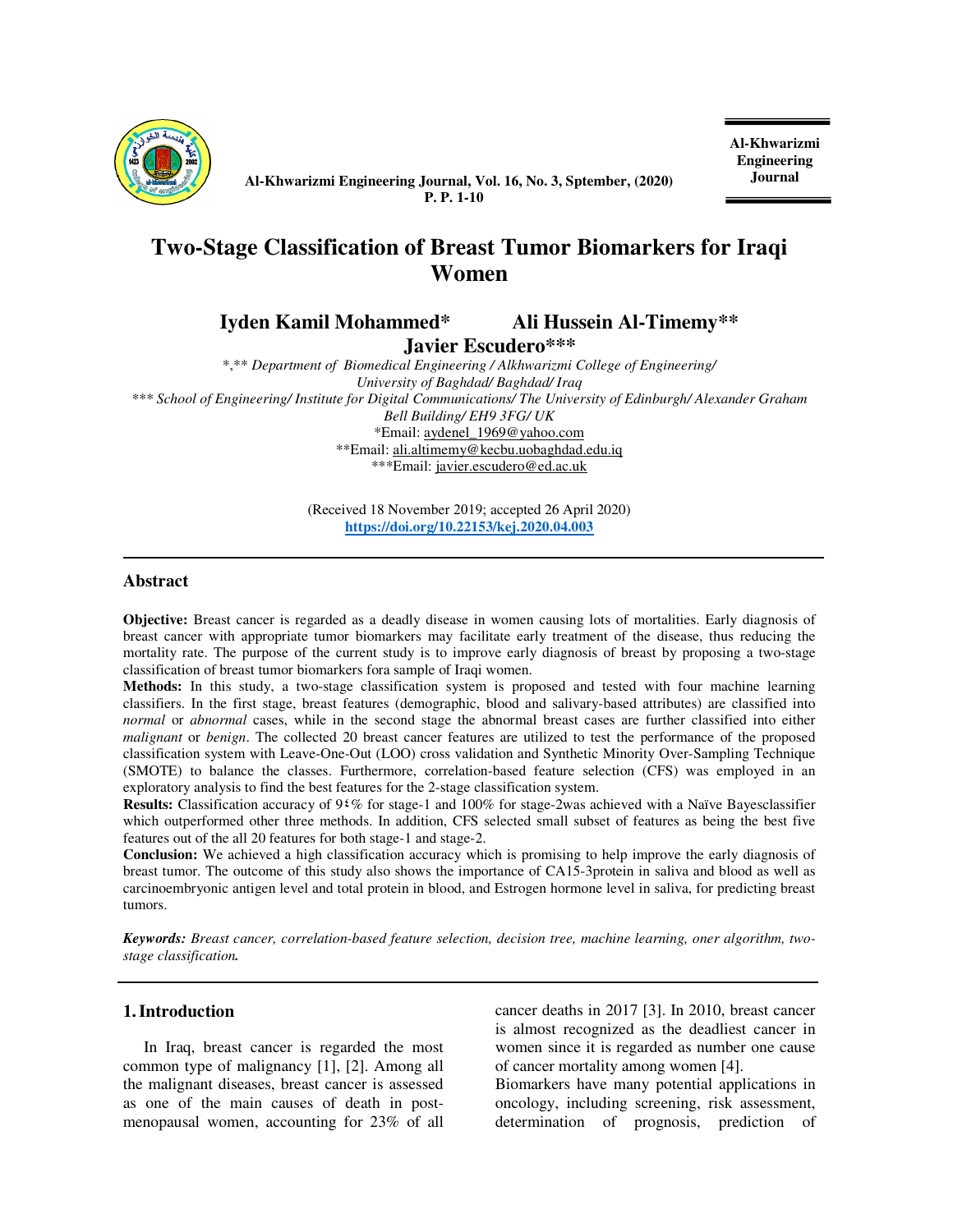

**Al-Khwarizmi Engineering Journal, Vol. 16, No. 3, Sptember, (2020) Journal P. P. 1-10** 

**Al-Khwarizmi Engineering** 

# **Two-Stage Classification of Breast Tumor Biomarkers for Iraqi Women**

**Iyden Kamil Mohammed\* Ali Hussein Al-Timemy\*\*** 

 **Javier Escudero\*\*\*** 

\*,\*\* *Department of**Biomedical Engineering / Alkhwarizmi College of Engineering/ University of Baghdad/ Baghdad/ Iraq \*\*\* School of Engineering/ Institute for Digital Communications/ The University of Edinburgh/ Alexander Graham Bell Building/ EH9 3FG/ UK*  \*Email: aydenel\_1969@yahoo.com \*\*Email: ali.altimemy@kecbu.uobaghdad.edu.iq \*\*\*Email: javier.escudero@ed.ac.uk

> (Received 18 November 2019; accepted 26 April 2020) **https://doi.org/10.22153/kej.2020.04.003**

## **Abstract**

**Objective:** Breast cancer is regarded as a deadly disease in women causing lots of mortalities. Early diagnosis of breast cancer with appropriate tumor biomarkers may facilitate early treatment of the disease, thus reducing the mortality rate. The purpose of the current study is to improve early diagnosis of breast by proposing a two-stage classification of breast tumor biomarkers fora sample of Iraqi women.

**Methods:** In this study, a two-stage classification system is proposed and tested with four machine learning classifiers. In the first stage, breast features (demographic, blood and salivary-based attributes) are classified into *normal* or *abnormal* cases, while in the second stage the abnormal breast cases are further classified into either *malignant* or *benign*. The collected 20 breast cancer features are utilized to test the performance of the proposed classification system with Leave-One-Out (LOO) cross validation and Synthetic Minority Over-Sampling Technique (SMOTE) to balance the classes. Furthermore, correlation-based feature selection (CFS) was employed in an exploratory analysis to find the best features for the 2-stage classification system.

**Results:** Classification accuracy of 9٤% for stage-1 and 100% for stage-2was achieved with a Naïve Bayesclassifier which outperformed other three methods. In addition, CFS selected small subset of features as being the best five features out of the all 20 features for both stage-1 and stage-2.

**Conclusion:** We achieved a high classification accuracy which is promising to help improve the early diagnosis of breast tumor. The outcome of this study also shows the importance of CA15-3protein in saliva and blood as well as carcinoembryonic antigen level and total protein in blood, and Estrogen hormone level in saliva, for predicting breast tumors.

*Keywords: Breast cancer, correlation-based feature selection, decision tree, machine learning, oner algorithm, twostage classification.* 

#### **1.Introduction**

In Iraq, breast cancer is regarded the most common type of malignancy [1], [2]. Among all the malignant diseases, breast cancer is assessed as one of the main causes of death in postmenopausal women, accounting for 23% of all cancer deaths in 2017 [3]. In 2010, breast cancer is almost recognized as the deadliest cancer in women since it is regarded as number one cause of cancer mortality among women [4].

Biomarkers have many potential applications in oncology, including screening, risk assessment, determination of prognosis, prediction of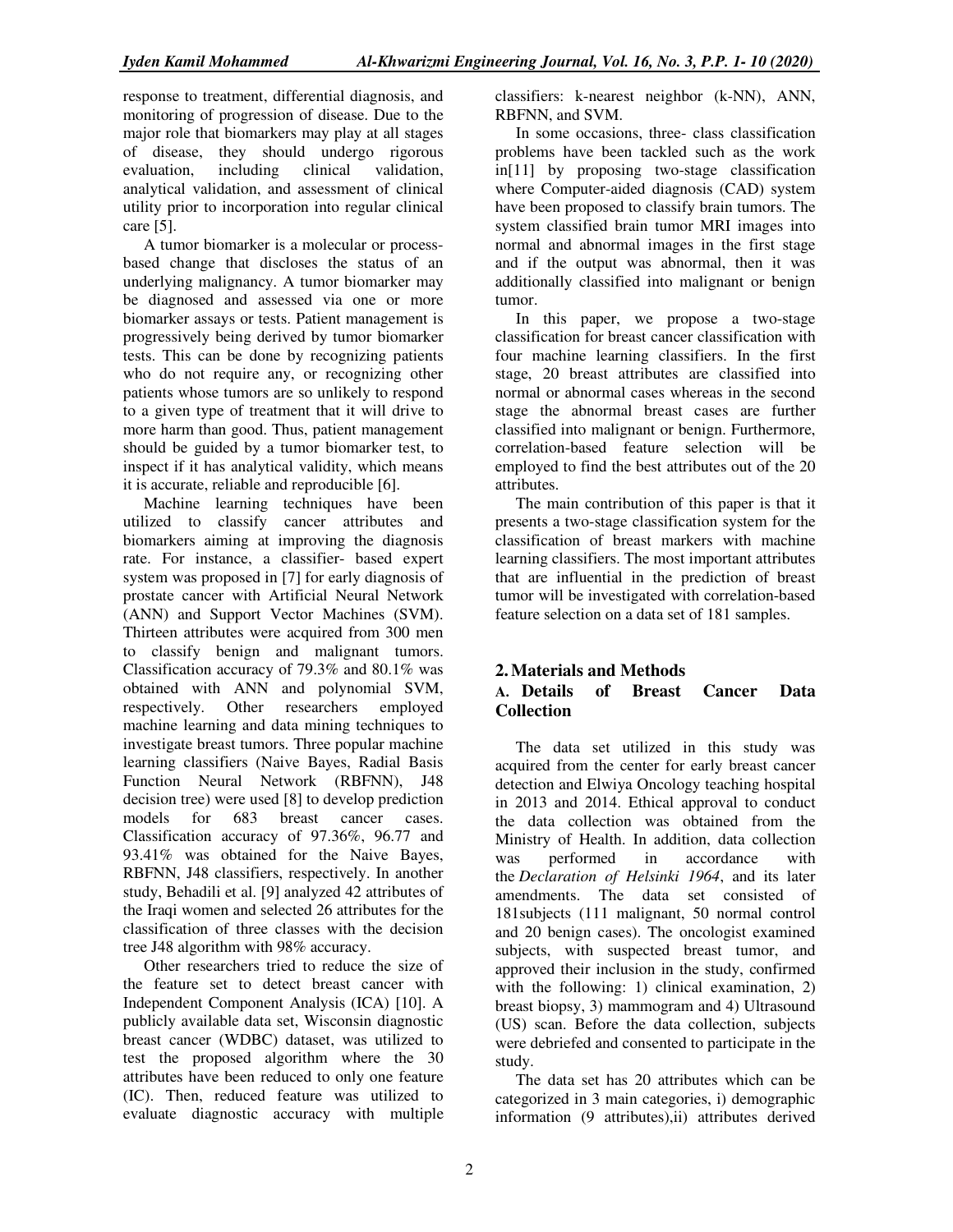response to treatment, differential diagnosis, and monitoring of progression of disease. Due to the major role that biomarkers may play at all stages of disease, they should undergo rigorous evaluation, including clinical validation, analytical validation, and assessment of clinical utility prior to incorporation into regular clinical care [5].

A tumor biomarker is a molecular or processbased change that discloses the status of an underlying malignancy. A tumor biomarker may be diagnosed and assessed via one or more biomarker assays or tests. Patient management is progressively being derived by tumor biomarker tests. This can be done by recognizing patients who do not require any, or recognizing other patients whose tumors are so unlikely to respond to a given type of treatment that it will drive to more harm than good. Thus, patient management should be guided by a tumor biomarker test, to inspect if it has analytical validity, which means it is accurate, reliable and reproducible [6].

Machine learning techniques have been utilized to classify cancer attributes and biomarkers aiming at improving the diagnosis rate. For instance, a classifier- based expert system was proposed in [7] for early diagnosis of prostate cancer with Artificial Neural Network (ANN) and Support Vector Machines (SVM). Thirteen attributes were acquired from 300 men to classify benign and malignant tumors. Classification accuracy of 79.3% and 80.1% was obtained with ANN and polynomial SVM, respectively. Other researchers employed machine learning and data mining techniques to investigate breast tumors. Three popular machine learning classifiers (Naive Bayes, Radial Basis Function Neural Network (RBFNN), J48 decision tree) were used [8] to develop prediction models for 683 breast cancer cases. Classification accuracy of 97.36%, 96.77 and 93.41% was obtained for the Naive Bayes, RBFNN, J48 classifiers, respectively. In another study, Behadili et al. [9] analyzed 42 attributes of the Iraqi women and selected 26 attributes for the classification of three classes with the decision tree J48 algorithm with 98% accuracy.

Other researchers tried to reduce the size of the feature set to detect breast cancer with Independent Component Analysis (ICA) [10]. A publicly available data set, Wisconsin diagnostic breast cancer (WDBC) dataset, was utilized to test the proposed algorithm where the 30 attributes have been reduced to only one feature (IC). Then, reduced feature was utilized to evaluate diagnostic accuracy with multiple

classifiers: k-nearest neighbor (k-NN), ANN, RBFNN, and SVM.

In some occasions, three- class classification problems have been tackled such as the work in[11] by proposing two-stage classification where Computer-aided diagnosis (CAD) system have been proposed to classify brain tumors. The system classified brain tumor MRI images into normal and abnormal images in the first stage and if the output was abnormal, then it was additionally classified into malignant or benign tumor.

In this paper, we propose a two-stage classification for breast cancer classification with four machine learning classifiers. In the first stage, 20 breast attributes are classified into normal or abnormal cases whereas in the second stage the abnormal breast cases are further classified into malignant or benign. Furthermore, correlation-based feature selection will be employed to find the best attributes out of the 20 attributes.

The main contribution of this paper is that it presents a two-stage classification system for the classification of breast markers with machine learning classifiers. The most important attributes that are influential in the prediction of breast tumor will be investigated with correlation-based feature selection on a data set of 181 samples.

# **2.Materials and Methods A. Details of Breast Cancer Data Collection**

The data set utilized in this study was acquired from the center for early breast cancer detection and Elwiya Oncology teaching hospital in 2013 and 2014. Ethical approval to conduct the data collection was obtained from the Ministry of Health. In addition, data collection was performed in accordance with the *Declaration of Helsinki 1964*, and its later amendments. The data set consisted of 181subjects (111 malignant, 50 normal control and 20 benign cases). The oncologist examined subjects, with suspected breast tumor, and approved their inclusion in the study, confirmed with the following: 1) clinical examination, 2) breast biopsy, 3) mammogram and 4) Ultrasound (US) scan. Before the data collection, subjects were debriefed and consented to participate in the study.

The data set has 20 attributes which can be categorized in 3 main categories, i) demographic information (9 attributes),ii) attributes derived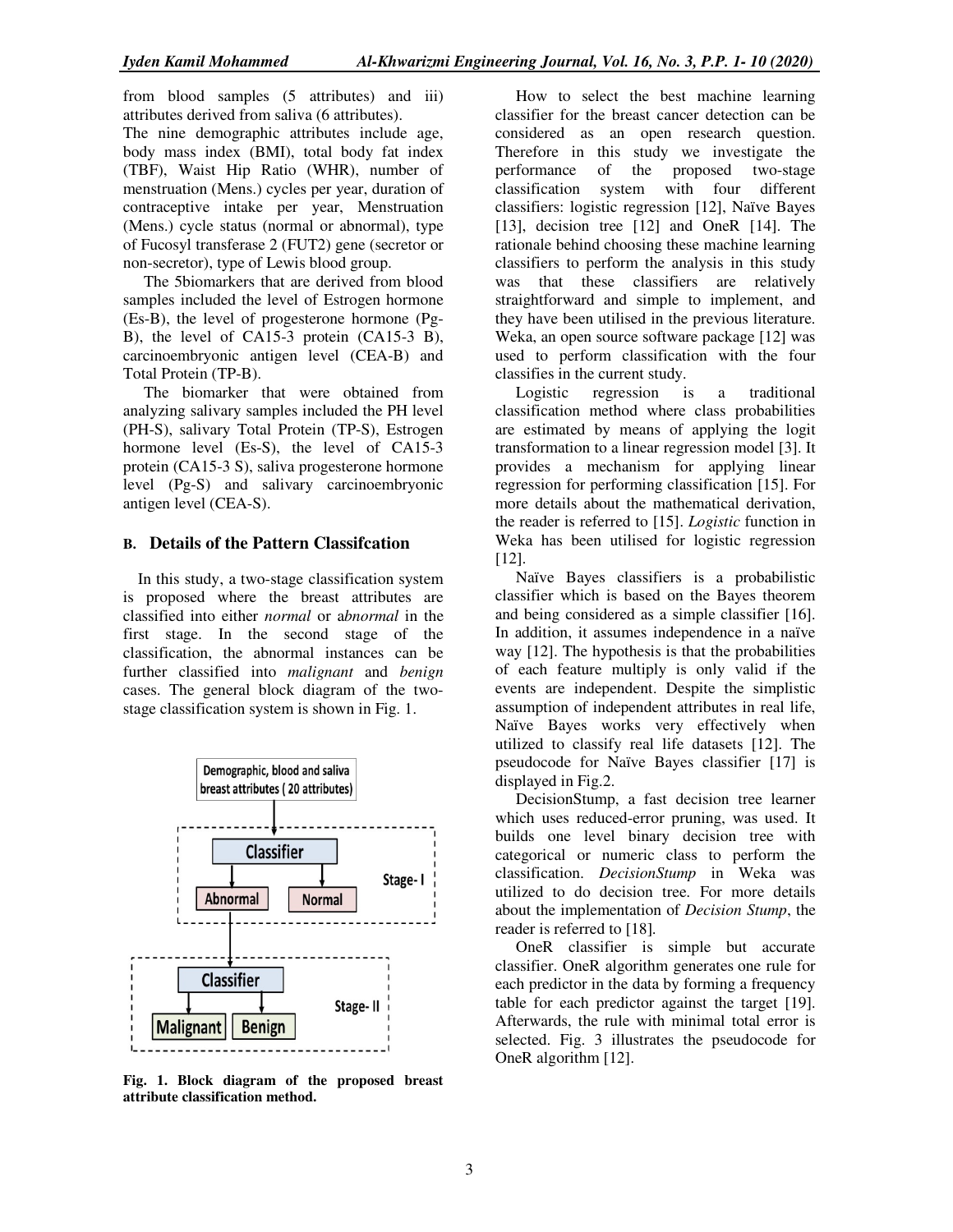from blood samples (5 attributes) and iii) attributes derived from saliva (6 attributes). The nine demographic attributes include age, body mass index (BMI), total body fat index (TBF), Waist Hip Ratio (WHR), number of menstruation (Mens.) cycles per year, duration of contraceptive intake per year, Menstruation (Mens.) cycle status (normal or abnormal), type of Fucosyl transferase 2 (FUT2) gene (secretor or non-secretor), type of Lewis blood group.

The 5biomarkers that are derived from blood samples included the level of Estrogen hormone (Es-B), the level of progesterone hormone (Pg-B), the level of CA15-3 protein (CA15-3 B), carcinoembryonic antigen level (CEA-B) and Total Protein (TP-B).

The biomarker that were obtained from analyzing salivary samples included the PH level (PH-S), salivary Total Protein (TP-S), Estrogen hormone level (Es-S), the level of CA15-3 protein (CA15-3 S), saliva progesterone hormone level (Pg-S) and salivary carcinoembryonic antigen level (CEA-S).

#### **B. Details of the Pattern Classifcation**

In this study, a two-stage classification system is proposed where the breast attributes are classified into either *normal* or a*bnormal* in the first stage. In the second stage of the classification, the abnormal instances can be further classified into *malignant* and *benign* cases. The general block diagram of the twostage classification system is shown in Fig. 1.



**Fig. 1. Block diagram of the proposed breast attribute classification method.** 

How to select the best machine learning classifier for the breast cancer detection can be considered as an open research question. Therefore in this study we investigate the performance of the proposed two-stage classification system with four different classifiers: logistic regression [12], Naïve Bayes [13], decision tree [12] and OneR [14]. The rationale behind choosing these machine learning classifiers to perform the analysis in this study was that these classifiers are relatively straightforward and simple to implement, and they have been utilised in the previous literature. Weka, an open source software package [12] was used to perform classification with the four classifies in the current study.

Logistic regression is a traditional classification method where class probabilities are estimated by means of applying the logit transformation to a linear regression model [3]. It provides a mechanism for applying linear regression for performing classification [15]. For more details about the mathematical derivation, the reader is referred to [15]. *Logistic* function in Weka has been utilised for logistic regression [12].

Naïve Bayes classifiers is a probabilistic classifier which is based on the Bayes theorem and being considered as a simple classifier [16]. In addition, it assumes independence in a naïve way [12]. The hypothesis is that the probabilities of each feature multiply is only valid if the events are independent. Despite the simplistic assumption of independent attributes in real life, Naïve Bayes works very effectively when utilized to classify real life datasets [12]. The pseudocode for Naïve Bayes classifier [17] is displayed in Fig.2.

DecisionStump, a fast decision tree learner which uses reduced-error pruning, was used. It builds one level binary decision tree with categorical or numeric class to perform the classification. *DecisionStump* in Weka was utilized to do decision tree. For more details about the implementation of *Decision Stump*, the reader is referred to [18]*.*

OneR classifier is simple but accurate classifier. OneR algorithm generates one rule for each predictor in the data by forming a frequency table for each predictor against the target [19]. Afterwards, the rule with minimal total error is selected. Fig. 3 illustrates the pseudocode for OneR algorithm [12].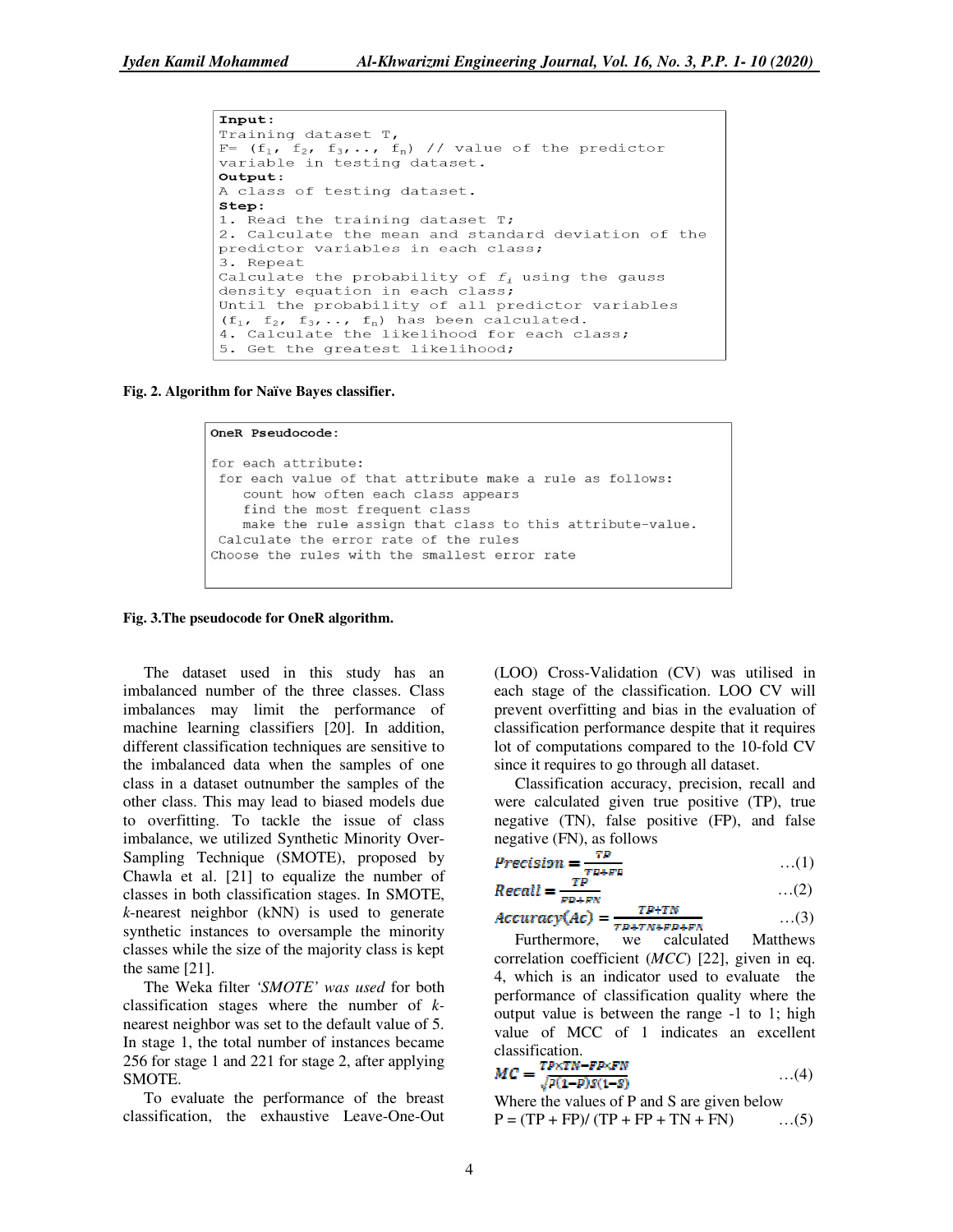```
Input:
Training dataset T,
F= (f_1, f_2, f_3, \ldots, f_n) // value of the predictor
variable in testing dataset.
Output:
A class of testing dataset.
Step:
1. Read the training dataset T:
2. Calculate the mean and standard deviation of the
predictor variables in each class;
3. Repeat
Calculate the probability of f_i using the gauss
density equation in each class;
Until the probability of all predictor variables
(f_1, f_2, f_3, \ldots, f_n) has been calculated.
4. Calculate the likelihood for each class;
5. Get the greatest likelihood;
```
**Fig. 2. Algorithm for Naïve Bayes classifier.** 

#### OneR Pseudocode: for each attribute: for each value of that attribute make a rule as follows: count how often each class appears find the most frequent class make the rule assign that class to this attribute-value. Calculate the error rate of the rules Choose the rules with the smallest error rate

#### **Fig. 3.The pseudocode for OneR algorithm.**

The dataset used in this study has an imbalanced number of the three classes. Class imbalances may limit the performance of machine learning classifiers [20]. In addition, different classification techniques are sensitive to the imbalanced data when the samples of one class in a dataset outnumber the samples of the other class. This may lead to biased models due to overfitting. To tackle the issue of class imbalance, we utilized Synthetic Minority Over-Sampling Technique (SMOTE), proposed by Chawla et al. [21] to equalize the number of classes in both classification stages. In SMOTE, *k*-nearest neighbor (kNN) is used to generate synthetic instances to oversample the minority classes while the size of the majority class is kept the same [21].

The Weka filter *'SMOTE' was used* for both classification stages where the number of *k*nearest neighbor was set to the default value of 5. In stage 1, the total number of instances became 256 for stage 1 and 221 for stage 2, after applying SMOTE.

To evaluate the performance of the breast classification, the exhaustive Leave-One-Out

(LOO) Cross-Validation (CV) was utilised in each stage of the classification. LOO CV will prevent overfitting and bias in the evaluation of classification performance despite that it requires lot of computations compared to the 10-fold CV since it requires to go through all dataset.

Classification accuracy, precision, recall and were calculated given true positive (TP), true negative (TN), false positive (FP), and false negative (FN), as follows

$$
Precision = \frac{TP}{TP + FP} \tag{1}
$$

$$
Recall = \frac{TP}{T} \tag{2}
$$

$$
Accuracy(Ac) = \frac{TP+TN}{TP+TN+FP+FN} \qquad \qquad \dots (3)
$$

Furthermore, we calculated Matthews correlation coefficient (*MCC*) [22], given in eq. 4, which is an indicator used to evaluate the performance of classification quality where the output value is between the range -1 to 1; high value of MCC of 1 indicates an excellent classification.

$$
MC = \frac{TP \times TN - FP \times FN}{\sqrt{p(1 - P)S(1 - S)}} \qquad \qquad \dots (4)
$$

Where the values of P and S are given below  $P = (TP + FP)/(TP + FP + TN + FN)$  ...(5)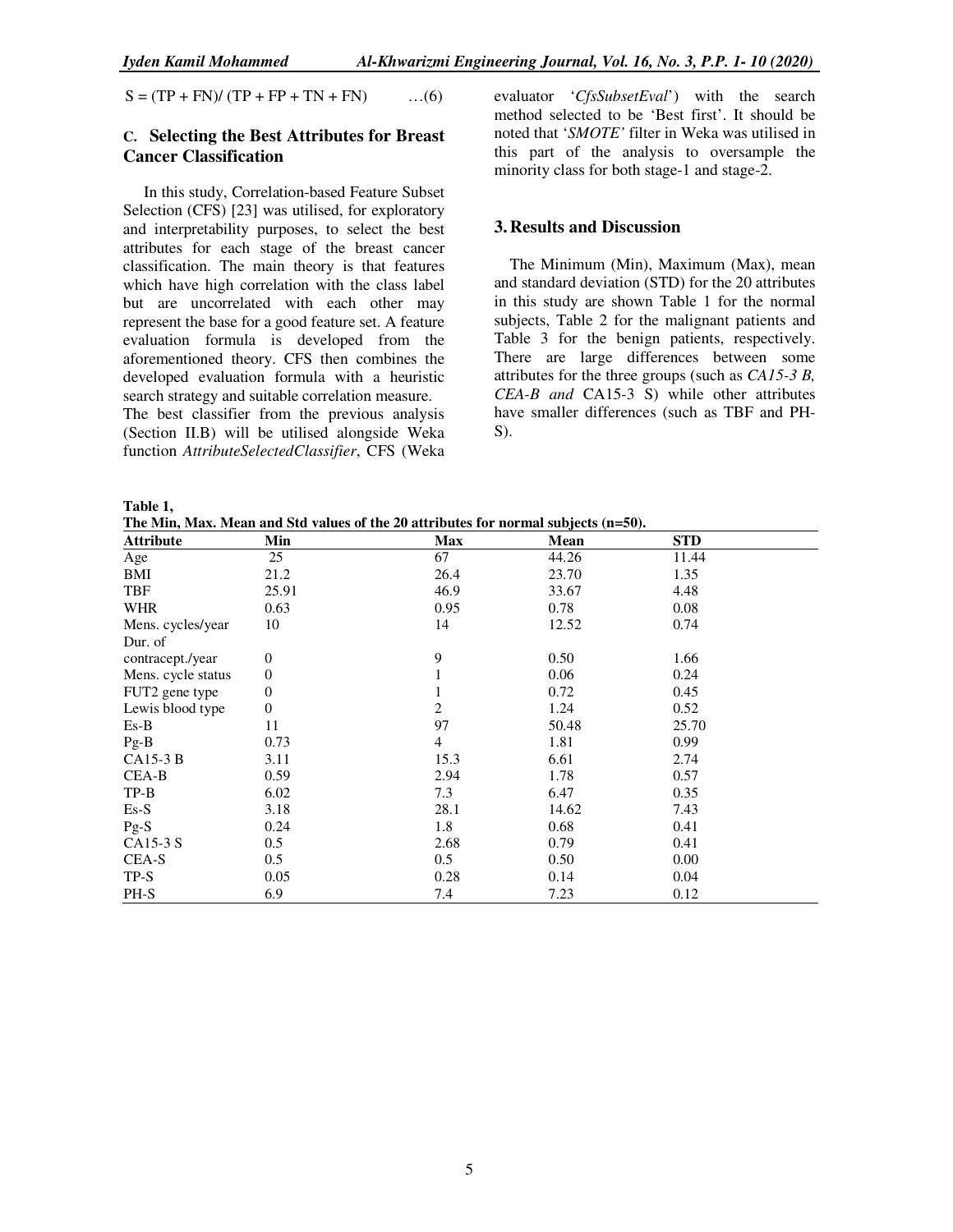$S = (TP + FN)/(TP + FP + TN + FN)$  ...(6)

# **C. Selecting the Best Attributes for Breast Cancer Classification**

In this study, Correlation-based Feature Subset Selection (CFS) [23] was utilised, for exploratory and interpretability purposes, to select the best attributes for each stage of the breast cancer classification. The main theory is that features which have high correlation with the class label but are uncorrelated with each other may represent the base for a good feature set. A feature evaluation formula is developed from the aforementioned theory. CFS then combines the developed evaluation formula with a heuristic search strategy and suitable correlation measure.

The best classifier from the previous analysis (Section II.B) will be utilised alongside Weka function *AttributeSelectedClassifier*, CFS (Weka

evaluator '*CfsSubsetEval*') with the search method selected to be 'Best first'. It should be noted that '*SMOTE'* filter in Weka was utilised in this part of the analysis to oversample the minority class for both stage-1 and stage-2.

#### **3.Results and Discussion**

The Minimum (Min), Maximum (Max), mean and standard deviation (STD) for the 20 attributes in this study are shown Table 1 for the normal subjects, Table 2 for the malignant patients and Table 3 for the benign patients, respectively. There are large differences between some attributes for the three groups (such as *CA15-3 B, CEA-B and* CA15-3 S) while other attributes have smaller differences (such as TBF and PH- $S$ ).

| ۰.<br>۰,<br>× |  |
|---------------|--|
|---------------|--|

**The Min, Max. Mean and Std values of the 20 attributes for normal subjects (n=50).** 

| <b>Attribute</b>   | Min          | <b>Max</b> | Mean  | <b>STD</b> |
|--------------------|--------------|------------|-------|------------|
| Age                | 25           | 67         | 44.26 | 11.44      |
| BMI                | 21.2         | 26.4       | 23.70 | 1.35       |
| TBF                | 25.91        | 46.9       | 33.67 | 4.48       |
| <b>WHR</b>         | 0.63         | 0.95       | 0.78  | 0.08       |
| Mens. cycles/year  | 10           | 14         | 12.52 | 0.74       |
| Dur. of            |              |            |       |            |
| contracept./year   | $\mathbf{0}$ | 9          | 0.50  | 1.66       |
| Mens. cycle status | $\theta$     |            | 0.06  | 0.24       |
| FUT2 gene type     | $\theta$     |            | 0.72  | 0.45       |
| Lewis blood type   | $\mathbf{0}$ | 2          | 1.24  | 0.52       |
| $Es-B$             | 11           | 97         | 50.48 | 25.70      |
| $Pg-B$             | 0.73         | 4          | 1.81  | 0.99       |
| $CA15-3B$          | 3.11         | 15.3       | 6.61  | 2.74       |
| CEA-B              | 0.59         | 2.94       | 1.78  | 0.57       |
| $TP-B$             | 6.02         | 7.3        | 6.47  | 0.35       |
| $Es-S$             | 3.18         | 28.1       | 14.62 | 7.43       |
| $Pg-S$             | 0.24         | 1.8        | 0.68  | 0.41       |
| CA15-3 S           | 0.5          | 2.68       | 0.79  | 0.41       |
| CEA-S              | 0.5          | 0.5        | 0.50  | 0.00       |
| $TP-S$             | 0.05         | 0.28       | 0.14  | 0.04       |
| PH-S               | 6.9          | 7.4        | 7.23  | 0.12       |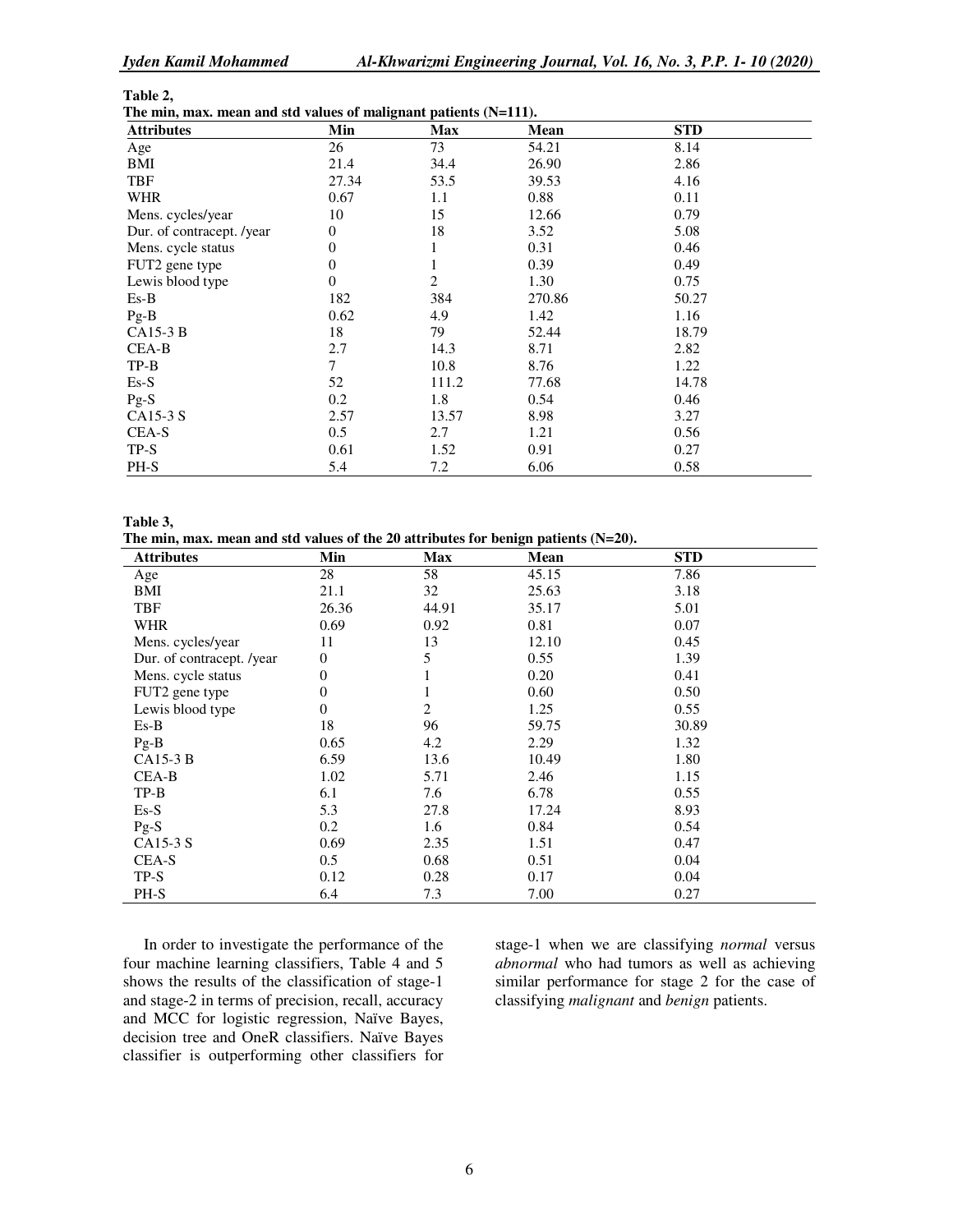| l'able |  |
|--------|--|
|--------|--|

| The min, max. mean and std values of malignant patients $(N=111)$ . |  |  |  |  |
|---------------------------------------------------------------------|--|--|--|--|
|---------------------------------------------------------------------|--|--|--|--|

| <b>Attributes</b>         | Min      | $\mathbf{m}$ who see there's so manipular presence $(1, 2, 1)$<br><b>Max</b> | Mean   | <b>STD</b> |  |
|---------------------------|----------|------------------------------------------------------------------------------|--------|------------|--|
| Age                       | 26       | 73                                                                           | 54.21  | 8.14       |  |
| BMI                       | 21.4     | 34.4                                                                         | 26.90  | 2.86       |  |
| <b>TBF</b>                | 27.34    | 53.5                                                                         | 39.53  | 4.16       |  |
| <b>WHR</b>                | 0.67     | 1.1                                                                          | 0.88   | 0.11       |  |
| Mens. cycles/year         | 10       | 15                                                                           | 12.66  | 0.79       |  |
| Dur. of contracept. /year | $\theta$ | 18                                                                           | 3.52   | 5.08       |  |
| Mens. cycle status        | $\theta$ |                                                                              | 0.31   | 0.46       |  |
| FUT2 gene type            | $\theta$ |                                                                              | 0.39   | 0.49       |  |
| Lewis blood type          | $\theta$ | 2                                                                            | 1.30   | 0.75       |  |
| $Es-B$                    | 182      | 384                                                                          | 270.86 | 50.27      |  |
| $Pg-B$                    | 0.62     | 4.9                                                                          | 1.42   | 1.16       |  |
| $CA15-3B$                 | 18       | 79                                                                           | 52.44  | 18.79      |  |
| CEA-B                     | 2.7      | 14.3                                                                         | 8.71   | 2.82       |  |
| $TP-B$                    | 7        | 10.8                                                                         | 8.76   | 1.22       |  |
| $Es-S$                    | 52       | 111.2                                                                        | 77.68  | 14.78      |  |
| $Pg-S$                    | 0.2      | 1.8                                                                          | 0.54   | 0.46       |  |
| CA15-3 S                  | 2.57     | 13.57                                                                        | 8.98   | 3.27       |  |
| CEA-S                     | 0.5      | 2.7                                                                          | 1.21   | 0.56       |  |
| $TP-S$                    | 0.61     | 1.52                                                                         | 0.91   | 0.27       |  |
| PH-S                      | 5.4      | 7.2                                                                          | 6.06   | 0.58       |  |

**Table 3,** 

**The min, max. mean and std values of the 20 attributes for benign patients (N=20).** 

| <b>Attributes</b>         | Min      | Max   | Mean  | <b>STD</b> |  |
|---------------------------|----------|-------|-------|------------|--|
| Age                       | 28       | 58    | 45.15 | 7.86       |  |
| BMI                       | 21.1     | 32    | 25.63 | 3.18       |  |
| <b>TBF</b>                | 26.36    | 44.91 | 35.17 | 5.01       |  |
| <b>WHR</b>                | 0.69     | 0.92  | 0.81  | 0.07       |  |
| Mens. cycles/year         | 11       | 13    | 12.10 | 0.45       |  |
| Dur. of contracept. /year | $\theta$ | 5     | 0.55  | 1.39       |  |
| Mens. cycle status        | $\theta$ |       | 0.20  | 0.41       |  |
| FUT2 gene type            | $\Omega$ | 1     | 0.60  | 0.50       |  |
| Lewis blood type          | $\Omega$ | 2     | 1.25  | 0.55       |  |
| $Es-B$                    | 18       | 96    | 59.75 | 30.89      |  |
| $Pg-B$                    | 0.65     | 4.2   | 2.29  | 1.32       |  |
| $CA15-3B$                 | 6.59     | 13.6  | 10.49 | 1.80       |  |
| CEA-B                     | 1.02     | 5.71  | 2.46  | 1.15       |  |
| $TP-B$                    | 6.1      | 7.6   | 6.78  | 0.55       |  |
| $Es-S$                    | 5.3      | 27.8  | 17.24 | 8.93       |  |
| $Pg-S$                    | 0.2      | 1.6   | 0.84  | 0.54       |  |
| CA15-3 S                  | 0.69     | 2.35  | 1.51  | 0.47       |  |
| CEA-S                     | 0.5      | 0.68  | 0.51  | 0.04       |  |
| $TP-S$                    | 0.12     | 0.28  | 0.17  | 0.04       |  |
| PH-S                      | 6.4      | 7.3   | 7.00  | 0.27       |  |

In order to investigate the performance of the four machine learning classifiers, Table 4 and 5 shows the results of the classification of stage-1 and stage-2 in terms of precision, recall, accuracy and MCC for logistic regression, Naïve Bayes, decision tree and OneR classifiers. Naïve Bayes classifier is outperforming other classifiers for

stage-1 when we are classifying *normal* versus *abnormal* who had tumors as well as achieving similar performance for stage 2 for the case of classifying *malignant* and *benign* patients.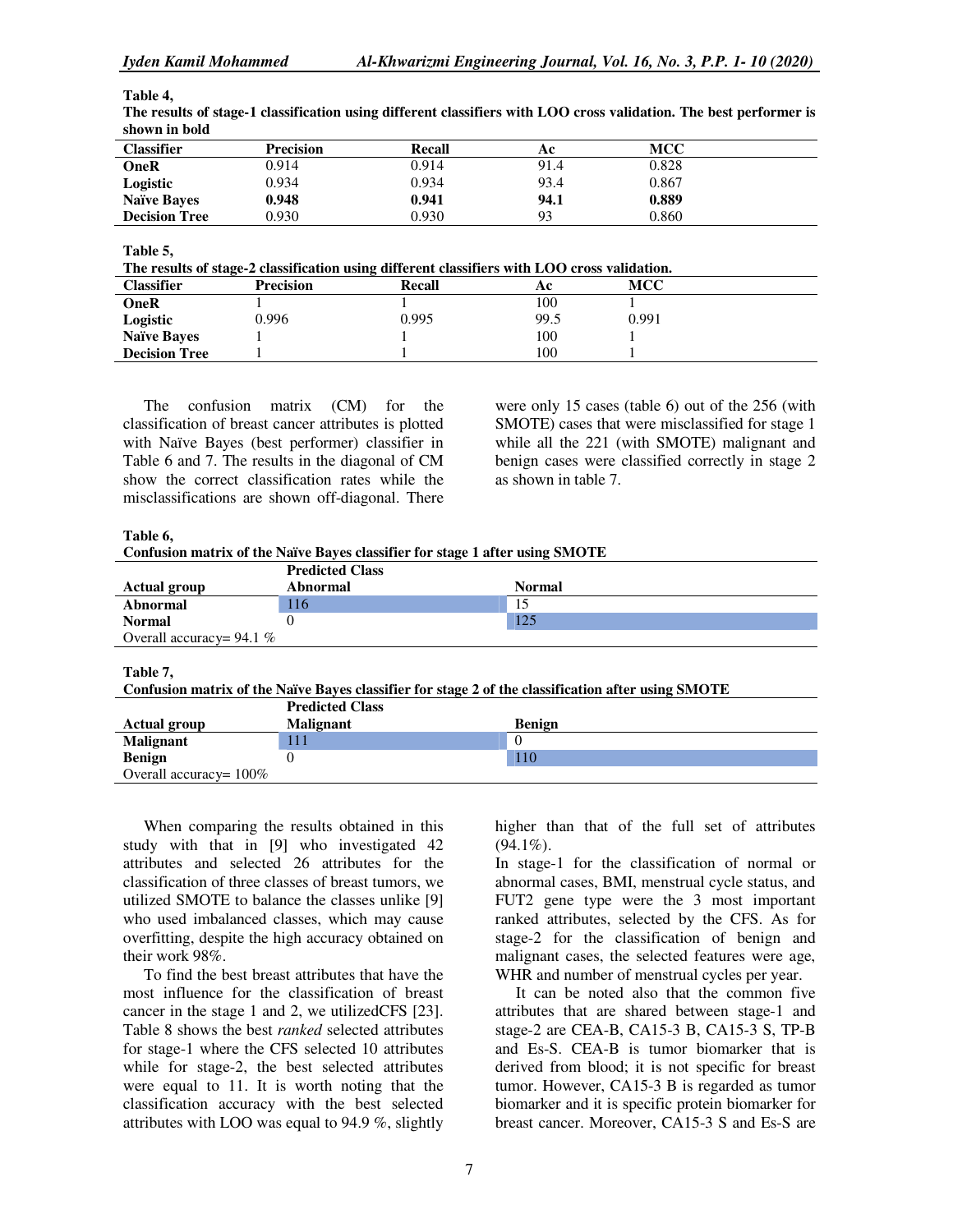| Table 4, |  |
|----------|--|
| m        |  |

| эноми ні році        |           |        |      |            |  |
|----------------------|-----------|--------|------|------------|--|
| <b>Classifier</b>    | Precision | Recall | Ac   | <b>MCC</b> |  |
| OneR                 | 0.914     | 0.914  | 91.4 | 0.828      |  |
| Logistic             | 0.934     | 0.934  | 93.4 | 0.867      |  |
| <b>Naïve Bayes</b>   | 0.948     | 0.941  | 94.1 | 0.889      |  |
| <b>Decision Tree</b> | 0.930     | 0.930  | 93   | 0.860      |  |

**The results of stage-1 classification using different classifiers with LOO cross validation. The best performer is shown in bold** 

**Table 5,** 

**The results of stage-2 classification using different classifiers with LOO cross validation.** 

| The results of stage $\equiv$ chosing and asing university chosiners with EOO eross (university) |                  |        |      |       |  |
|--------------------------------------------------------------------------------------------------|------------------|--------|------|-------|--|
| <b>Classifier</b>                                                                                | <b>Precision</b> | Recall | Aс   | мсс   |  |
| OneR                                                                                             |                  |        | 100  |       |  |
| Logistic                                                                                         | 0.996            | 0.995  | 99.5 | 0.991 |  |
| <b>Naïve Bayes</b>                                                                               |                  |        | 100  |       |  |
| <b>Decision Tree</b>                                                                             |                  |        | 100  |       |  |

The confusion matrix (CM) for the classification of breast cancer attributes is plotted with Naïve Bayes (best performer) classifier in Table 6 and 7. The results in the diagonal of CM show the correct classification rates while the misclassifications are shown off-diagonal. There

were only 15 cases (table 6) out of the 256 (with SMOTE) cases that were misclassified for stage 1 while all the 221 (with SMOTE) malignant and benign cases were classified correctly in stage 2 as shown in table 7.

**Table 6,** 

|  | Confusion matrix of the Naïve Bayes classifier for stage 1 after using SMOTE |  |
|--|------------------------------------------------------------------------------|--|

|                            | <b>Predicted Class</b> |               |
|----------------------------|------------------------|---------------|
| <b>Actual group</b>        | Abnormal               | <b>Normal</b> |
| Abnormal                   | 116                    |               |
| <b>Normal</b>              |                        | 125           |
| Overall accuracy= $94.1\%$ |                        |               |

**Table 7,** 

**Confusion matrix of the Naïve Bayes classifier for stage 2 of the classification after using SMOTE** 

|                           | <b>Predicted Class</b> |               |
|---------------------------|------------------------|---------------|
| <b>Actual group</b>       | <b>Malignant</b>       | <b>Benign</b> |
| <b>Malignant</b>          | 111                    |               |
| <b>Benign</b>             |                        | 110           |
| Overall accuracy= $100\%$ |                        |               |

When comparing the results obtained in this study with that in [9] who investigated 42 attributes and selected 26 attributes for the classification of three classes of breast tumors, we utilized SMOTE to balance the classes unlike [9] who used imbalanced classes, which may cause overfitting, despite the high accuracy obtained on their work 98%.

To find the best breast attributes that have the most influence for the classification of breast cancer in the stage 1 and 2, we utilizedCFS [23]. Table 8 shows the best *ranked* selected attributes for stage-1 where the CFS selected 10 attributes while for stage-2, the best selected attributes were equal to 11. It is worth noting that the classification accuracy with the best selected attributes with LOO was equal to 94.9 %, slightly

higher than that of the full set of attributes  $(94.1\%)$ .

In stage-1 for the classification of normal or abnormal cases, BMI, menstrual cycle status, and FUT2 gene type were the 3 most important ranked attributes, selected by the CFS. As for stage-2 for the classification of benign and malignant cases, the selected features were age, WHR and number of menstrual cycles per year.

It can be noted also that the common five attributes that are shared between stage-1 and stage-2 are CEA-B, CA15-3 B, CA15-3 S, TP-B and Es-S. CEA-B is tumor biomarker that is derived from blood; it is not specific for breast tumor. However, CA15-3 B is regarded as tumor biomarker and it is specific protein biomarker for breast cancer. Moreover, CA15-3 S and Es-S are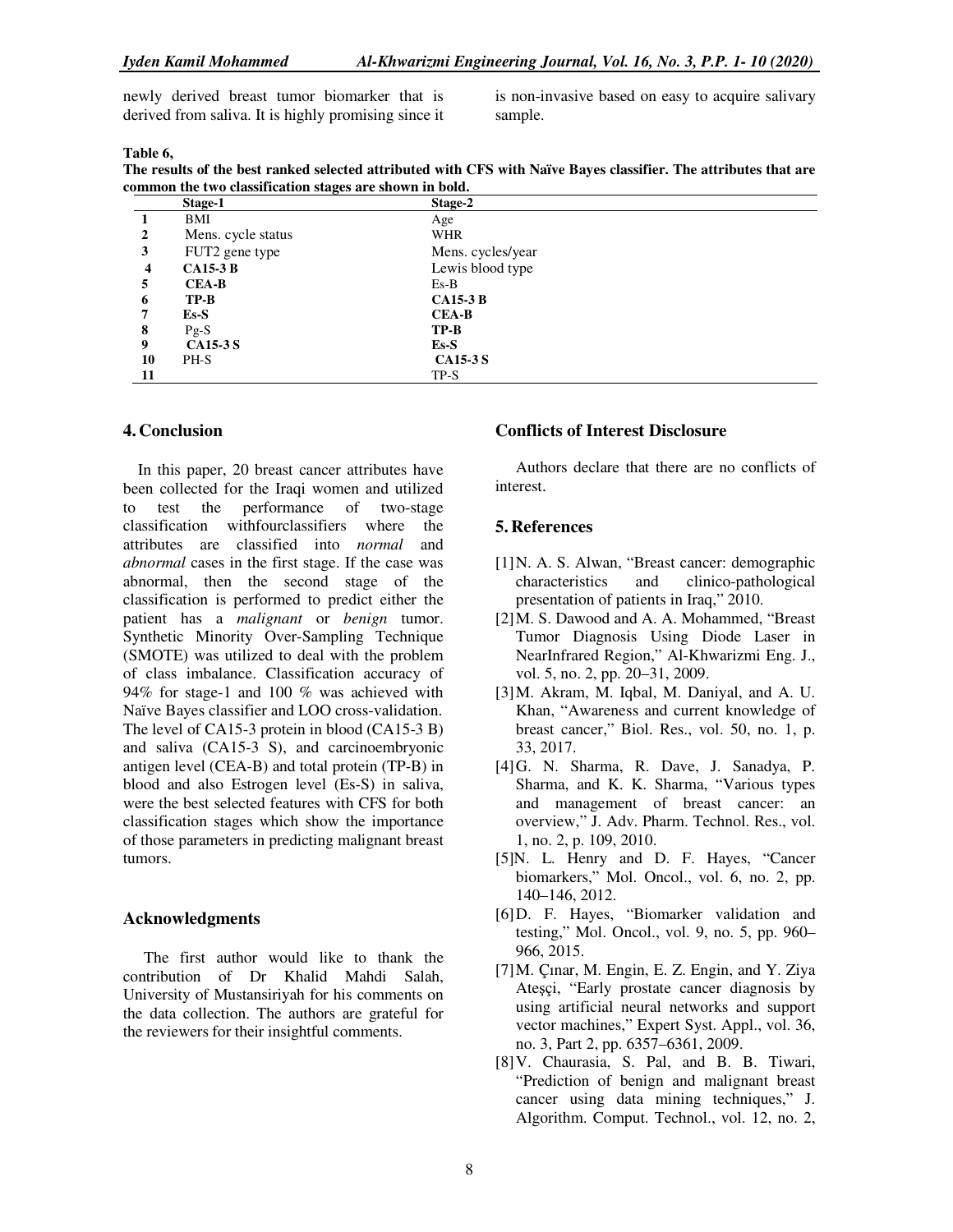newly derived breast tumor biomarker that is derived from saliva. It is highly promising since it is non-invasive based on easy to acquire salivary sample.

#### **Table 6,**

**The results of the best ranked selected attributed with CFS with Naïve Bayes classifier. The attributes that are common the two classification stages are shown in bold.** 

|              | Stage-1            | Stage-2           |
|--------------|--------------------|-------------------|
|              | BMI                | Age               |
| $\mathbf{2}$ | Mens. cycle status | <b>WHR</b>        |
| 3            | FUT2 gene type     | Mens. cycles/year |
| 4            | <b>CA15-3 B</b>    | Lewis blood type  |
| 5            | <b>CEA-B</b>       | $Es-B$            |
| 6            | $TP-B$             | <b>CA15-3 B</b>   |
| 7            | E <sub>S</sub>     | <b>CEA-B</b>      |
| 8            | $Pg-S$             | $TP-B$            |
| 9            | <b>CA15-3 S</b>    | $Es-S$            |
| 10           | PH-S               | <b>CA15-3 S</b>   |
| 11           |                    | $TP-S$            |

#### **4.Conclusion**

In this paper, 20 breast cancer attributes have been collected for the Iraqi women and utilized to test the performance of two-stage classification withfourclassifiers where the attributes are classified into *normal* and *abnormal* cases in the first stage. If the case was abnormal, then the second stage of the classification is performed to predict either the patient has a *malignant* or *benign* tumor. Synthetic Minority Over-Sampling Technique (SMOTE) was utilized to deal with the problem of class imbalance. Classification accuracy of 94% for stage-1 and 100 % was achieved with Naïve Bayes classifier and LOO cross-validation. The level of CA15-3 protein in blood (CA15-3 B) and saliva (CA15-3 S), and carcinoembryonic antigen level (CEA-B) and total protein (TP-B) in blood and also Estrogen level (Es-S) in saliva, were the best selected features with CFS for both classification stages which show the importance of those parameters in predicting malignant breast tumors.

#### **Acknowledgments**

The first author would like to thank the contribution of Dr Khalid Mahdi Salah, University of Mustansiriyah for his comments on the data collection. The authors are grateful for the reviewers for their insightful comments.

## **Conflicts of Interest Disclosure**

Authors declare that there are no conflicts of interest.

#### **5.References**

- [1] N. A. S. Alwan, "Breast cancer: demographic characteristics and clinico-pathological presentation of patients in Iraq," 2010.
- [2] M. S. Dawood and A. A. Mohammed, "Breast Tumor Diagnosis Using Diode Laser in NearInfrared Region," Al-Khwarizmi Eng. J., vol. 5, no. 2, pp. 20–31, 2009.
- [3] M. Akram, M. Iqbal, M. Daniyal, and A. U. Khan, "Awareness and current knowledge of breast cancer," Biol. Res., vol. 50, no. 1, p. 33, 2017.
- [4] G. N. Sharma, R. Dave, J. Sanadya, P. Sharma, and K. K. Sharma, "Various types and management of breast cancer: an overview," J. Adv. Pharm. Technol. Res., vol. 1, no. 2, p. 109, 2010.
- [5]N. L. Henry and D. F. Hayes, "Cancer biomarkers," Mol. Oncol., vol. 6, no. 2, pp. 140–146, 2012.
- [6] D. F. Hayes, "Biomarker validation and testing," Mol. Oncol., vol. 9, no. 5, pp. 960– 966, 2015.
- [7] M. Çınar, M. Engin, E. Z. Engin, and Y. Ziya Ateşçi, "Early prostate cancer diagnosis by using artificial neural networks and support vector machines," Expert Syst. Appl., vol. 36, no. 3, Part 2, pp. 6357–6361, 2009.
- [8] V. Chaurasia, S. Pal, and B. B. Tiwari, "Prediction of benign and malignant breast cancer using data mining techniques," J. Algorithm. Comput. Technol., vol. 12, no. 2,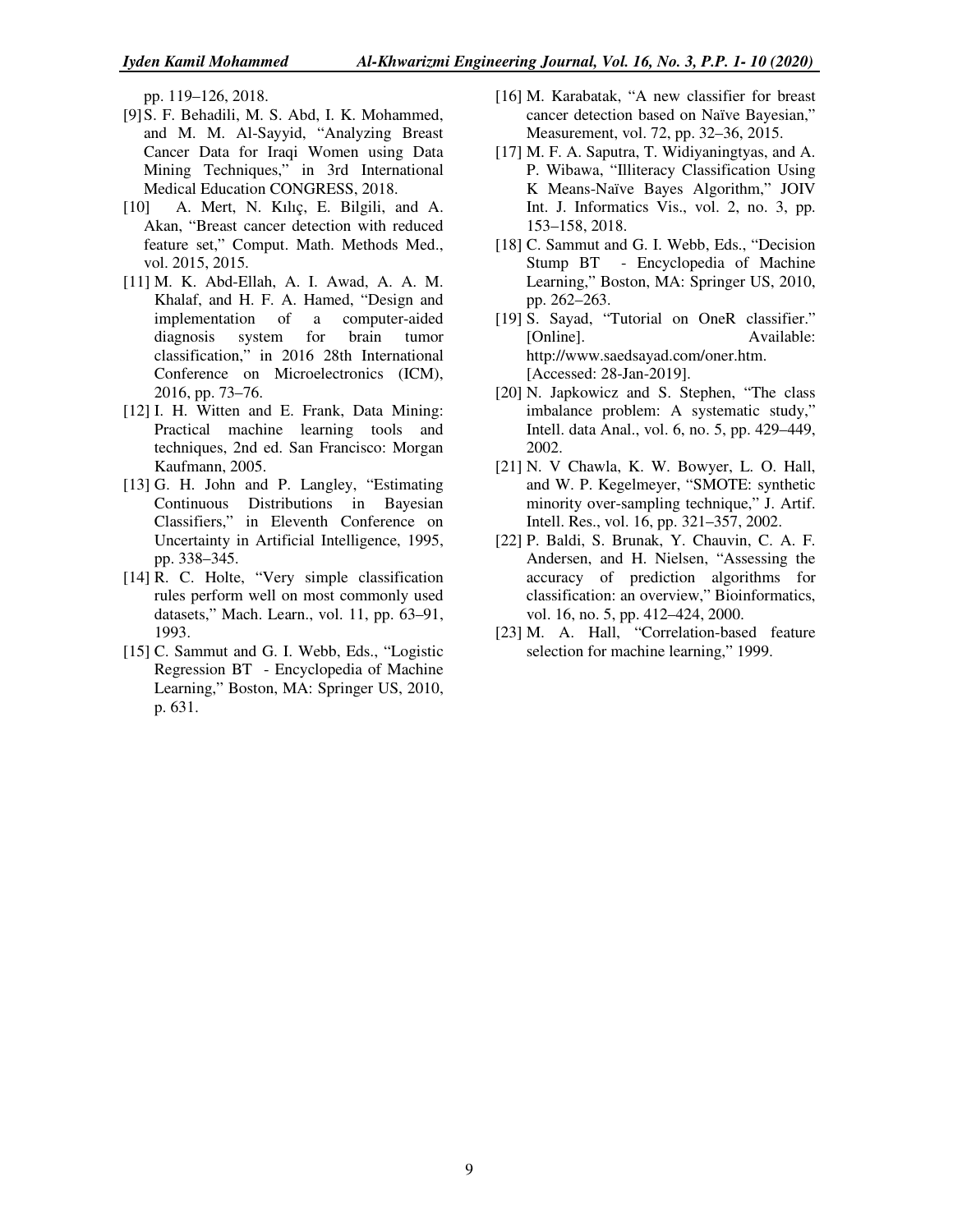pp. 119–126, 2018.

- [9] S. F. Behadili, M. S. Abd, I. K. Mohammed, and M. M. Al-Sayyid, "Analyzing Breast Cancer Data for Iraqi Women using Data Mining Techniques," in 3rd International Medical Education CONGRESS, 2018.
- [10] A. Mert, N. Kılıç, E. Bilgili, and A. Akan, "Breast cancer detection with reduced feature set," Comput. Math. Methods Med., vol. 2015, 2015.
- [11] M. K. Abd-Ellah, A. I. Awad, A. A. M. Khalaf, and H. F. A. Hamed, "Design and implementation of a computer-aided diagnosis system for brain tumor classification," in 2016 28th International Conference on Microelectronics (ICM), 2016, pp. 73–76.
- [12] I. H. Witten and E. Frank, Data Mining: Practical machine learning tools and techniques, 2nd ed. San Francisco: Morgan Kaufmann, 2005.
- [13] G. H. John and P. Langley, "Estimating Continuous Distributions in Bayesian Classifiers," in Eleventh Conference on Uncertainty in Artificial Intelligence, 1995, pp. 338–345.
- [14] R. C. Holte, "Very simple classification rules perform well on most commonly used datasets," Mach. Learn., vol. 11, pp. 63–91, 1993.
- [15] C. Sammut and G. I. Webb, Eds., "Logistic Regression BT - Encyclopedia of Machine Learning," Boston, MA: Springer US, 2010, p. 631.
- [16] M. Karabatak, "A new classifier for breast cancer detection based on Naïve Bayesian," Measurement, vol. 72, pp. 32–36, 2015.
- [17] M. F. A. Saputra, T. Widiyaningtyas, and A. P. Wibawa, "Illiteracy Classification Using K Means-Naïve Bayes Algorithm," JOIV Int. J. Informatics Vis., vol. 2, no. 3, pp. 153–158, 2018.
- [18] C. Sammut and G. I. Webb, Eds., "Decision Stump BT - Encyclopedia of Machine Learning," Boston, MA: Springer US, 2010, pp. 262–263.
- [19] S. Sayad, "Tutorial on OneR classifier." [Online]. Available: http://www.saedsayad.com/oner.htm. [Accessed: 28-Jan-2019].
- [20] N. Japkowicz and S. Stephen, "The class" imbalance problem: A systematic study," Intell. data Anal., vol. 6, no. 5, pp. 429–449, 2002.
- [21] N. V Chawla, K. W. Bowyer, L. O. Hall, and W. P. Kegelmeyer, "SMOTE: synthetic minority over-sampling technique," J. Artif. Intell. Res., vol. 16, pp. 321–357, 2002.
- [22] P. Baldi, S. Brunak, Y. Chauvin, C. A. F. Andersen, and H. Nielsen, "Assessing the accuracy of prediction algorithms for classification: an overview," Bioinformatics, vol. 16, no. 5, pp. 412–424, 2000.
- [23] M. A. Hall, "Correlation-based feature selection for machine learning," 1999.